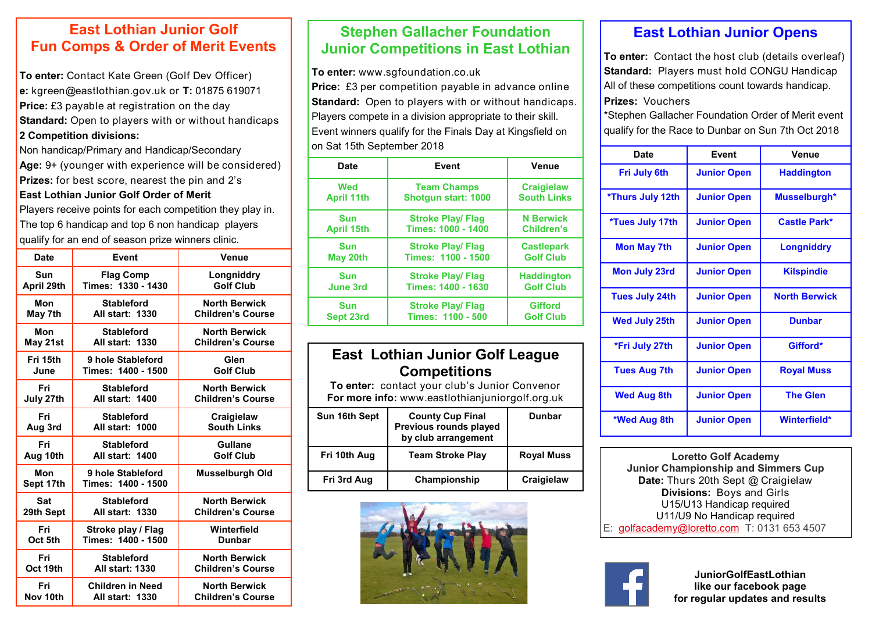### **East Lothian Junior Golf Fun Comps & Order of Merit Events**

**To enter:** Contact Kate Green (Golf Dev Officer) **e:** kgreen@eastlothian.gov.uk or **T:** 01875 619071 **Price:** £3 payable at registration on the day **Standard:** Open to players with or without handicaps **2 Competition divisions:** 

Non handicap/Primary and Handicap/Secondary **Age:** 9+ (younger with experience will be considered) **Prizes:** for best score, nearest the pin and 2's **East Lothian Junior Golf Order of Merit**

Players receive points for each competition they play in. The top 6 handicap and top 6 non handicap players qualify for an end of season prize winners clinic.

| <b>Date</b>      | <b>Event</b>                            | Venue                    |
|------------------|-----------------------------------------|--------------------------|
| Sun              | <b>Flag Comp</b>                        | Longniddry               |
| April 29th       | Times: 1330 - 1430                      | <b>Golf Club</b>         |
| Mon              | <b>Stableford</b>                       | <b>North Berwick</b>     |
| May 7th          | <b>All start: 1330</b>                  | <b>Children's Course</b> |
| Mon              | <b>Stableford</b>                       | <b>North Berwick</b>     |
| May 21st         | <b>All start: 1330</b>                  | <b>Children's Course</b> |
| Fri 15th         | 9 hole Stableford                       | Glen                     |
| June             | Times: 1400 - 1500                      | <b>Golf Club</b>         |
| Fri              | <b>Stableford</b>                       | <b>North Berwick</b>     |
| July 27th        | All start: 1400                         | <b>Children's Course</b> |
| Fri              | <b>Stableford</b>                       | Craigielaw               |
| Aug 3rd          | All start: 1000                         | <b>South Links</b>       |
| Fri              | <b>Stableford</b>                       | Gullane                  |
| Aug 10th         | All start: 1400                         | <b>Golf Club</b>         |
| Mon<br>Sept 17th | 9 hole Stableford<br>Times: 1400 - 1500 | <b>Musselburgh Old</b>   |
| <b>Sat</b>       | <b>Stableford</b>                       | <b>North Berwick</b>     |
| 29th Sept        | <b>All start: 1330</b>                  | <b>Children's Course</b> |
| Fri              | Stroke play / Flag                      | Winterfield              |
| Oct 5th          | Times: 1400 - 1500                      | <b>Dunbar</b>            |
| Fri              | <b>Stableford</b>                       | <b>North Berwick</b>     |
| Oct 19th         | <b>All start: 1330</b>                  | <b>Children's Course</b> |
| Fri              | <b>Children in Need</b>                 | <b>North Berwick</b>     |
| Nov 10th         | <b>All start: 1330</b>                  | <b>Children's Course</b> |

## **Stephen Gallacher Foundation Junior Competitions in East Lothian**

**To enter:** www.sgfoundation.co.uk **Price:** £3 per competition payable in advance online **Standard:** Open to players with or without handicaps. Players compete in a division appropriate to their skill. Event winners qualify for the Finals Day at Kingsfield on on Sat 15th September 2018

| <b>Date</b>       | <b>Event</b>               | Venue              |  |  |
|-------------------|----------------------------|--------------------|--|--|
| Wed               | <b>Team Champs</b>         | <b>Craigielaw</b>  |  |  |
| <b>April 11th</b> | <b>Shotgun start: 1000</b> | <b>South Links</b> |  |  |
| <b>Sun</b>        | <b>Stroke Play/ Flag</b>   | <b>N</b> Berwick   |  |  |
| <b>April 15th</b> | Times: 1000 - 1400         | Children's         |  |  |
| <b>Sun</b>        | <b>Stroke Play/ Flag</b>   | <b>Castlepark</b>  |  |  |
| May 20th          | Times: 1100 - 1500         | <b>Golf Club</b>   |  |  |
| <b>Sun</b>        | <b>Stroke Play/ Flag</b>   | <b>Haddington</b>  |  |  |
| <b>June 3rd</b>   | Times: 1400 - 1630         | <b>Golf Club</b>   |  |  |
| <b>Sun</b>        | <b>Stroke Play/ Flag</b>   | <b>Gifford</b>     |  |  |
| Sept 23rd         | Times: 1100 - 500          | <b>Golf Club</b>   |  |  |

### **East Lothian Junior Golf League Competitions**

**To enter:** contact your club's Junior Convenor **For more info:** www.eastlothianjuniorgolf.org.uk

| Sun 16th Sept | <b>County Cup Final</b><br>Previous rounds played<br>by club arrangement | Dunbar            |
|---------------|--------------------------------------------------------------------------|-------------------|
| Fri 10th Aug  | <b>Team Stroke Play</b>                                                  | <b>Royal Muss</b> |
| Fri 3rd Aug   | Championship                                                             | Craigielaw        |



# **East Lothian Junior Opens**

**To enter:** Contact the host club (details overleaf) **Standard:** Players must hold CONGU Handicap All of these competitions count towards handicap. **Prizes:** Vouchers

\*Stephen Gallacher Foundation Order of Merit event qualify for the Race to Dunbar on Sun 7th Oct 2018

| Date                  | Event              | Venue                |
|-----------------------|--------------------|----------------------|
| Fri July 6th          | <b>Junior Open</b> | <b>Haddington</b>    |
| *Thurs July 12th      | <b>Junior Open</b> | Musselburgh*         |
| *Tues July 17th       | <b>Junior Open</b> | Castle Park*         |
| <b>Mon May 7th</b>    | <b>Junior Open</b> | <b>Longniddry</b>    |
| <b>Mon July 23rd</b>  | <b>Junior Open</b> | <b>Kilspindie</b>    |
| <b>Tues July 24th</b> | <b>Junior Open</b> | <b>North Berwick</b> |
| <b>Wed July 25th</b>  | <b>Junior Open</b> | <b>Dunbar</b>        |
| *Fri July 27th        | <b>Junior Open</b> | Gifford*             |
| <b>Tues Aug 7th</b>   | <b>Junior Open</b> | <b>Royal Muss</b>    |
| <b>Wed Aug 8th</b>    | <b>Junior Open</b> | <b>The Glen</b>      |
| *Wed Aug 8th          | <b>Junior Open</b> | Winterfield*         |

**Loretto Golf Academy Junior Championship and Simmers Cup Date:** Thurs 20th Sept @ Craigielaw **Divisions:** Boys and Girls U15/U13 Handicap required U11/U9 No Handicap required E: [golfacademy@loretto.com](mailto:golfacademy@loretto.com) T: 0131 653 4507